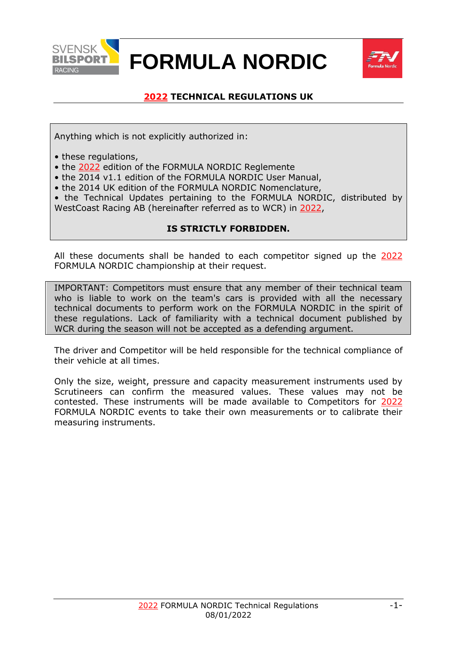

# **FORMULA NORDIC**



# **2022 TECHNICAL REGULATIONS UK**

<span id="page-0-0"></span>Anything which is not explicitly authorized in:

- these regulations,
- the 2022 edition of the FORMULA NORDIC Reglemente
- the 2014 v1.1 edition of the FORMULA NORDIC User Manual,
- the 2014 UK edition of the FORMULA NORDIC Nomenclature,
- the Technical Updates pertaining to the FORMULA NORDIC, distributed by WestCoast Racing AB (hereinafter referred as to WCR) in 2022,

#### **IS STRICTLY FORBIDDEN.**

All these documents shall be handed to each competitor signed up the 2022 FORMULA NORDIC championship at their request.

IMPORTANT: Competitors must ensure that any member of their technical team who is liable to work on the team's cars is provided with all the necessary technical documents to perform work on the FORMULA NORDIC in the spirit of these regulations. Lack of familiarity with a technical document published by WCR during the season will not be accepted as a defending argument.

The driver and Competitor will be held responsible for the technical compliance of their vehicle at all times.

Only the size, weight, pressure and capacity measurement instruments used by Scrutineers can confirm the measured values. These values may not be contested. These instruments will be made available to Competitors for 2022 FORMULA NORDIC events to take their own measurements or to calibrate their measuring instruments.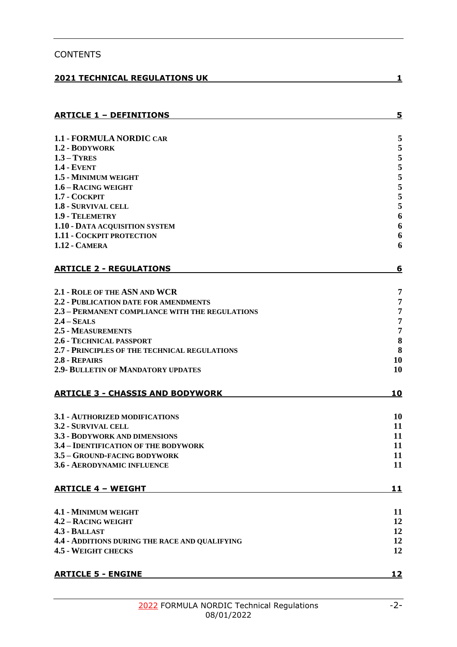| <b>CONTENTS</b>                                       |                  |
|-------------------------------------------------------|------------------|
| <b>2021 TECHNICAL REGULATIONS UK</b>                  | 1                |
| <b>ARTICLE 1 - DEFINITIONS</b>                        | 5                |
|                                                       |                  |
| <b>1.1 - FORMULA NORDIC CAR</b>                       | 5                |
| 1.2 - BODYWORK                                        | 5                |
| $1.3 - TYRES$                                         | 5                |
| <b>1.4 - EVENT</b><br>1.5 - MINIMUM WEIGHT            | 5<br>5           |
| 1.6 - RACING WEIGHT                                   | 5                |
| 1.7 - COCKPIT                                         | 5                |
| <b>1.8 - SURVIVAL CELL</b>                            | 5                |
| 1.9 - TELEMETRY                                       | $\boldsymbol{6}$ |
| 1.10 - DATA ACQUISITION SYSTEM                        | 6                |
| <b>1.11 - COCKPIT PROTECTION</b>                      | 6                |
| <b>1.12 - CAMERA</b>                                  | 6                |
| <b>ARTICLE 2 - REGULATIONS</b>                        | 6                |
|                                                       |                  |
| 2.1 - ROLE OF THE ASN AND WCR                         | 7                |
| 2.2 - PUBLICATION DATE FOR AMENDMENTS                 | 7                |
| 2.3 - PERMANENT COMPLIANCE WITH THE REGULATIONS       | 7                |
| $2.4 - SEALS$<br>2.5 - MEASUREMENTS                   | 7<br>7           |
| 2.6 - TECHNICAL PASSPORT                              | 8                |
| 2.7 - PRINCIPLES OF THE TECHNICAL REGULATIONS         | 8                |
| 2.8 - REPAIRS                                         | 10               |
| <b>2.9- BULLETIN OF MANDATORY UPDATES</b>             | 10               |
| <b>ARTICLE 3 - CHASSIS AND BODYWORK</b>               | <u> 10</u>       |
|                                                       |                  |
| 3.1 - AUTHORIZED MODIFICATIONS<br>3.2 - SURVIVAL CELL | 10<br>11         |
| 3.3 - BODYWORK AND DIMENSIONS                         | 11               |
| 3.4 - IDENTIFICATION OF THE BODYWORK                  | 11               |
| 3.5 - GROUND-FACING BODYWORK                          | 11               |
| 3.6 - AERODYNAMIC INFLUENCE                           | 11               |
| <b>ARTICLE 4 - WEIGHT</b>                             | <u>11</u>        |
|                                                       |                  |
| 4.1 - MINIMUM WEIGHT                                  | 11               |
| 4.2 - RACING WEIGHT<br>4.3 - BALLAST                  | 12<br>12         |
| 4.4 - ADDITIONS DURING THE RACE AND QUALIFYING        | 12               |
| <b>4.5 - WEIGHT CHECKS</b>                            | 12               |
|                                                       |                  |
| <b>ARTICLE 5 - ENGINE</b>                             | <u> 12</u>       |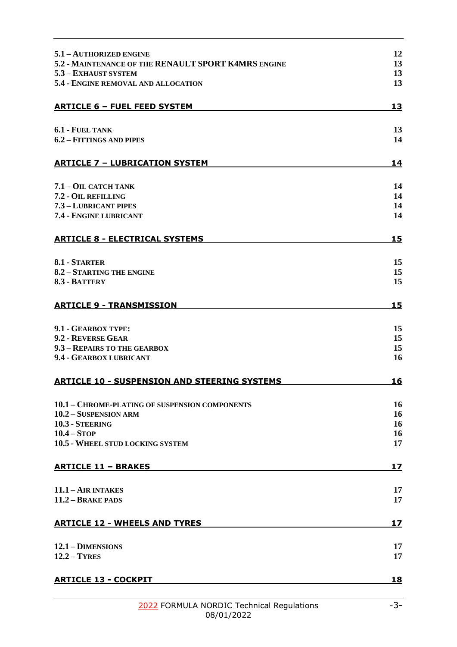| 5.1 - AUTHORIZED ENGINE<br>5.2 - MAINTENANCE OF THE RENAULT SPORT K4MRS ENGINE | 12<br>13  |
|--------------------------------------------------------------------------------|-----------|
| 5.3 - EXHAUST SYSTEM                                                           | 13        |
| 5.4 - ENGINE REMOVAL AND ALLOCATION                                            | 13        |
|                                                                                |           |
| <b>ARTICLE 6 - FUEL FEED SYSTEM</b>                                            | 13        |
| 6.1 - FUEL TANK                                                                | 13        |
| 6.2 - FITTINGS AND PIPES                                                       | 14        |
| <b>ARTICLE 7 - LUBRICATION SYSTEM</b>                                          | 14        |
| 7.1 - OIL CATCH TANK                                                           | 14        |
| 7.2 - OIL REFILLING                                                            | 14        |
| 7.3 - LUBRICANT PIPES<br>7.4 - ENGINE LUBRICANT                                | 14<br>14  |
| <b>ARTICLE 8 - ELECTRICAL SYSTEMS</b>                                          | 15        |
|                                                                                |           |
| 8.1 - STARTER                                                                  | 15        |
| 8.2 - STARTING THE ENGINE                                                      | 15        |
| 8.3 - BATTERY                                                                  | 15        |
| <b>ARTICLE 9 - TRANSMISSION</b>                                                | 15        |
| 9.1 - GEARBOX TYPE:                                                            | 15        |
| 9.2 - REVERSE GEAR                                                             | 15        |
| 9.3 - REPAIRS TO THE GEARBOX                                                   | 15<br>16  |
| 9.4 - GEARBOX LUBRICANT                                                        |           |
| <b>ARTICLE 10 - SUSPENSION AND STEERING SYSTEMS</b>                            | 16        |
| 10.1 - CHROME-PLATING OF SUSPENSION COMPONENTS                                 | 16        |
| 10.2 - SUSPENSION ARM                                                          | 16        |
| 10.3 - STEERING                                                                | 16        |
| $10.4 - STOP$                                                                  | 16<br>17  |
| 10.5 - WHEEL STUD LOCKING SYSTEM                                               |           |
| <b>ARTICLE 11 - BRAKES</b>                                                     | 17        |
| $11.1 - AIR INTAKES$                                                           | 17        |
| 11.2 - BRAKE PADS                                                              | 17        |
| <b>ARTICLE 12 - WHEELS AND TYRES</b>                                           | 17        |
| $12.1 -$ <b>DIMENSIONS</b>                                                     | 17        |
| $12.2 - TYRES$                                                                 | 17        |
| <b>ARTICLE 13 - COCKPIT</b>                                                    | <b>18</b> |
|                                                                                |           |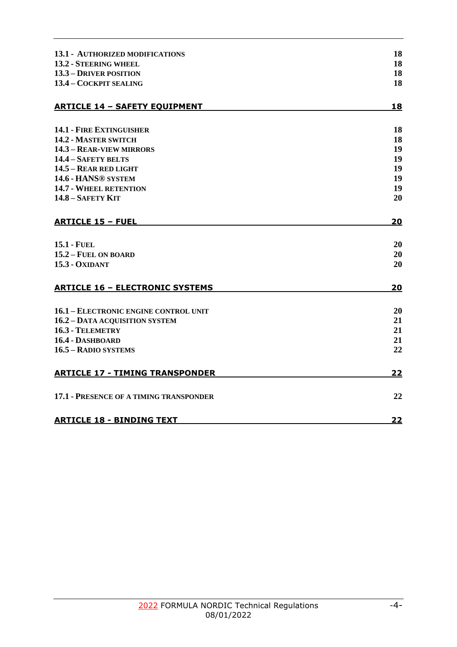| <b>13.1 - AUTHORIZED MODIFICATIONS</b>  | 18        |
|-----------------------------------------|-----------|
| 13.2 - STEERING WHEEL                   | 18        |
| <b>13.3 – DRIVER POSITION</b>           | 18        |
| 13.4 - COCKPIT SEALING                  | 18        |
| <b>ARTICLE 14 - SAFETY EQUIPMENT</b>    | 18        |
| <b>14.1 - FIRE EXTINGUISHER</b>         | 18        |
| 14.2 - MASTER SWITCH                    | 18        |
| 14.3 - REAR-VIEW MIRRORS                | 19        |
| 14.4 - SAFETY BELTS                     | 19        |
| 14.5 - REAR RED LIGHT                   | 19        |
| 14.6 - HANS® SYSTEM                     | 19        |
| <b>14.7 - WHEEL RETENTION</b>           | 19        |
| $14.8 - S$ AFETY KIT                    | 20        |
| <b>ARTICLE 15 - FUEL</b>                | 20        |
| <b>15.1 - FUEL</b>                      | 20        |
| 15.2 - FUEL ON BOARD                    | 20        |
| <b>15.3 - OXIDANT</b>                   | 20        |
| <b>ARTICLE 16 - ELECTRONIC SYSTEMS</b>  | 20        |
| 16.1 - ELECTRONIC ENGINE CONTROL UNIT   | 20        |
| 16.2 - DATA ACQUISITION SYSTEM          | 21        |
| 16.3 - TELEMETRY                        | 21        |
| 16.4 - DASHBOARD                        | 21        |
| 16.5 - RADIO SYSTEMS                    | 22        |
| <b>ARTICLE 17 - TIMING TRANSPONDER</b>  | 22        |
| 17.1 - PRESENCE OF A TIMING TRANSPONDER | 22        |
| <b>ARTICLE 18 - BINDING TEXT</b>        | <u>22</u> |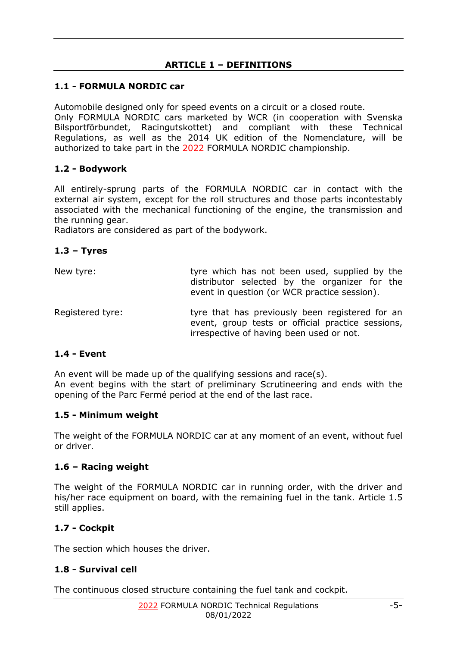# **ARTICLE 1 – DEFINITIONS**

# <span id="page-4-1"></span><span id="page-4-0"></span>**1.1 - FORMULA NORDIC car**

Automobile designed only for speed events on a circuit or a closed route. Only FORMULA NORDIC cars marketed by WCR (in cooperation with Svenska Bilsportförbundet, Racingutskottet) and compliant with these Technical Regulations, as well as the 2014 UK edition of the Nomenclature, will be authorized to take part in the 2022 FORMULA NORDIC championship.

# <span id="page-4-2"></span>**1.2 - Bodywork**

All entirely-sprung parts of the FORMULA NORDIC car in contact with the external air system, except for the roll structures and those parts incontestably associated with the mechanical functioning of the engine, the transmission and the running gear.

Radiators are considered as part of the bodywork.

# <span id="page-4-3"></span>**1.3 – Tyres**

| New tyre:        | tyre which has not been used, supplied by the<br>distributor selected by the organizer for the<br>event in question (or WCR practice session).   |
|------------------|--------------------------------------------------------------------------------------------------------------------------------------------------|
| Registered tyre: | tyre that has previously been registered for an<br>event, group tests or official practice sessions,<br>irrespective of having been used or not. |

# <span id="page-4-4"></span>**1.4 - Event**

An event will be made up of the qualifying sessions and race(s). An event begins with the start of preliminary Scrutineering and ends with the opening of the Parc Fermé period at the end of the last race.

# <span id="page-4-5"></span>**1.5 - Minimum weight**

The weight of the FORMULA NORDIC car at any moment of an event, without fuel or driver.

# <span id="page-4-6"></span>**1.6 – Racing weight**

The weight of the FORMULA NORDIC car in running order, with the driver and his/her race equipment on board, with the remaining fuel in the tank. Article 1.5 still applies.

# <span id="page-4-7"></span>**1.7 - Cockpit**

The section which houses the driver.

# <span id="page-4-8"></span>**1.8 - Survival cell**

The continuous closed structure containing the fuel tank and cockpit.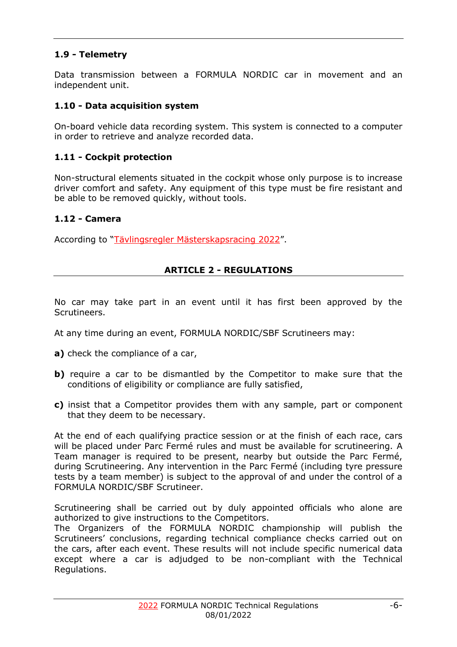# <span id="page-5-0"></span>**1.9 - Telemetry**

Data transmission between a FORMULA NORDIC car in movement and an independent unit.

## <span id="page-5-1"></span>**1.10 - Data acquisition system**

On-board vehicle data recording system. This system is connected to a computer in order to retrieve and analyze recorded data.

## <span id="page-5-2"></span>**1.11 - Cockpit protection**

Non-structural elements situated in the cockpit whose only purpose is to increase driver comfort and safety. Any equipment of this type must be fire resistant and be able to be removed quickly, without tools.

#### <span id="page-5-3"></span>**1.12 - Camera**

<span id="page-5-4"></span>According to "Tävlingsregler Mästerskapsracing 2022".

#### **ARTICLE 2 - REGULATIONS**

No car may take part in an event until it has first been approved by the Scrutineers.

At any time during an event, FORMULA NORDIC/SBF Scrutineers may:

- **a)** check the compliance of a car,
- **b**) require a car to be dismantled by the Competitor to make sure that the conditions of eligibility or compliance are fully satisfied,
- **c)** insist that a Competitor provides them with any sample, part or component that they deem to be necessary.

At the end of each qualifying practice session or at the finish of each race, cars will be placed under Parc Fermé rules and must be available for scrutineering. A Team manager is required to be present, nearby but outside the Parc Fermé, during Scrutineering. Any intervention in the Parc Fermé (including tyre pressure tests by a team member) is subject to the approval of and under the control of a FORMULA NORDIC/SBF Scrutineer.

Scrutineering shall be carried out by duly appointed officials who alone are authorized to give instructions to the Competitors.

The Organizers of the FORMULA NORDIC championship will publish the Scrutineers' conclusions, regarding technical compliance checks carried out on the cars, after each event. These results will not include specific numerical data except where a car is adjudged to be non-compliant with the Technical Regulations.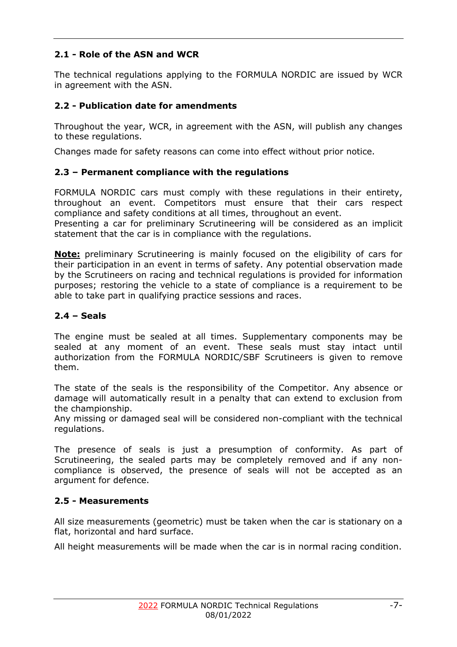# <span id="page-6-0"></span>**2.1 - Role of the ASN and WCR**

The technical regulations applying to the FORMULA NORDIC are issued by WCR in agreement with the ASN.

# <span id="page-6-1"></span>**2.2 - Publication date for amendments**

Throughout the year, WCR, in agreement with the ASN, will publish any changes to these regulations.

Changes made for safety reasons can come into effect without prior notice.

# <span id="page-6-2"></span>**2.3 – Permanent compliance with the regulations**

FORMULA NORDIC cars must comply with these regulations in their entirety, throughout an event. Competitors must ensure that their cars respect compliance and safety conditions at all times, throughout an event.

Presenting a car for preliminary Scrutineering will be considered as an implicit statement that the car is in compliance with the regulations.

**Note:** preliminary Scrutineering is mainly focused on the eligibility of cars for their participation in an event in terms of safety. Any potential observation made by the Scrutineers on racing and technical regulations is provided for information purposes; restoring the vehicle to a state of compliance is a requirement to be able to take part in qualifying practice sessions and races.

# <span id="page-6-3"></span>**2.4 – Seals**

The engine must be sealed at all times. Supplementary components may be sealed at any moment of an event. These seals must stay intact until authorization from the FORMULA NORDIC/SBF Scrutineers is given to remove them.

The state of the seals is the responsibility of the Competitor. Any absence or damage will automatically result in a penalty that can extend to exclusion from the championship.

Any missing or damaged seal will be considered non-compliant with the technical regulations.

The presence of seals is just a presumption of conformity. As part of Scrutineering, the sealed parts may be completely removed and if any noncompliance is observed, the presence of seals will not be accepted as an argument for defence.

# <span id="page-6-4"></span>**2.5 - Measurements**

All size measurements (geometric) must be taken when the car is stationary on a flat, horizontal and hard surface.

All height measurements will be made when the car is in normal racing condition.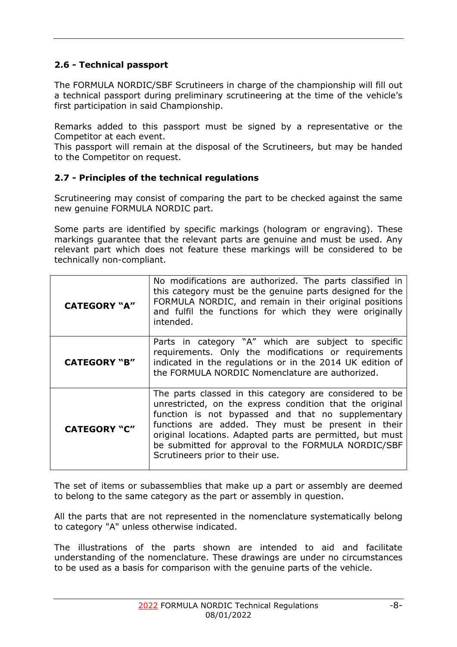# <span id="page-7-0"></span>**2.6 - Technical passport**

The FORMULA NORDIC/SBF Scrutineers in charge of the championship will fill out a technical passport during preliminary scrutineering at the time of the vehicle's first participation in said Championship.

Remarks added to this passport must be signed by a representative or the Competitor at each event.

This passport will remain at the disposal of the Scrutineers, but may be handed to the Competitor on request.

# <span id="page-7-1"></span>**2.7 - Principles of the technical regulations**

Scrutineering may consist of comparing the part to be checked against the same new genuine FORMULA NORDIC part.

Some parts are identified by specific markings (hologram or engraving). These markings guarantee that the relevant parts are genuine and must be used. Any relevant part which does not feature these markings will be considered to be technically non-compliant.

| <b>CATEGORY "A"</b> | No modifications are authorized. The parts classified in<br>this category must be the genuine parts designed for the<br>FORMULA NORDIC, and remain in their original positions<br>and fulfil the functions for which they were originally<br>intended.                                                                                                                                 |
|---------------------|----------------------------------------------------------------------------------------------------------------------------------------------------------------------------------------------------------------------------------------------------------------------------------------------------------------------------------------------------------------------------------------|
| <b>CATEGORY "B"</b> | Parts in category "A" which are subject to specific<br>requirements. Only the modifications or requirements<br>indicated in the regulations or in the 2014 UK edition of<br>the FORMULA NORDIC Nomenclature are authorized.                                                                                                                                                            |
| <b>CATEGORY "C"</b> | The parts classed in this category are considered to be<br>unrestricted, on the express condition that the original<br>function is not bypassed and that no supplementary<br>functions are added. They must be present in their<br>original locations. Adapted parts are permitted, but must<br>be submitted for approval to the FORMULA NORDIC/SBF<br>Scrutineers prior to their use. |

The set of items or subassemblies that make up a part or assembly are deemed to belong to the same category as the part or assembly in question.

All the parts that are not represented in the nomenclature systematically belong to category "A" unless otherwise indicated.

The illustrations of the parts shown are intended to aid and facilitate understanding of the nomenclature. These drawings are under no circumstances to be used as a basis for comparison with the genuine parts of the vehicle.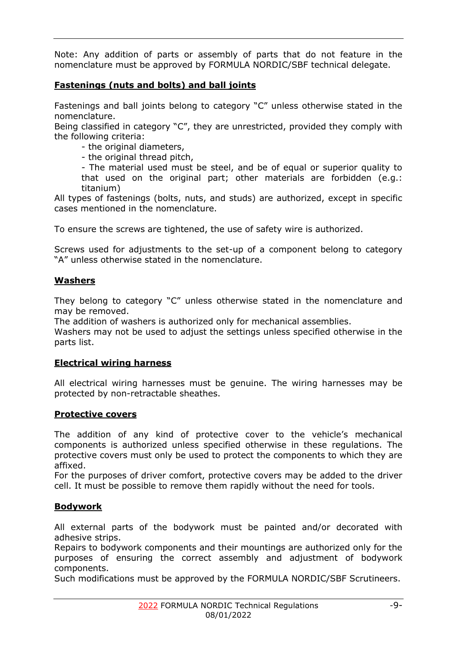Note: Any addition of parts or assembly of parts that do not feature in the nomenclature must be approved by FORMULA NORDIC/SBF technical delegate.

# **Fastenings (nuts and bolts) and ball joints**

Fastenings and ball joints belong to category "C" unless otherwise stated in the nomenclature.

Being classified in category "C", they are unrestricted, provided they comply with the following criteria:

- the original diameters,

- the original thread pitch,

- The material used must be steel, and be of equal or superior quality to that used on the original part; other materials are forbidden (e.g.: titanium)

All types of fastenings (bolts, nuts, and studs) are authorized, except in specific cases mentioned in the nomenclature.

To ensure the screws are tightened, the use of safety wire is authorized.

Screws used for adjustments to the set-up of a component belong to category "A" unless otherwise stated in the nomenclature.

#### **Washers**

They belong to category "C" unless otherwise stated in the nomenclature and may be removed.

The addition of washers is authorized only for mechanical assemblies.

Washers may not be used to adjust the settings unless specified otherwise in the parts list.

#### **Electrical wiring harness**

All electrical wiring harnesses must be genuine. The wiring harnesses may be protected by non-retractable sheathes.

#### **Protective covers**

The addition of any kind of protective cover to the vehicle's mechanical components is authorized unless specified otherwise in these regulations. The protective covers must only be used to protect the components to which they are affixed.

For the purposes of driver comfort, protective covers may be added to the driver cell. It must be possible to remove them rapidly without the need for tools.

#### **Bodywork**

All external parts of the bodywork must be painted and/or decorated with adhesive strips.

Repairs to bodywork components and their mountings are authorized only for the purposes of ensuring the correct assembly and adjustment of bodywork components.

Such modifications must be approved by the FORMULA NORDIC/SBF Scrutineers.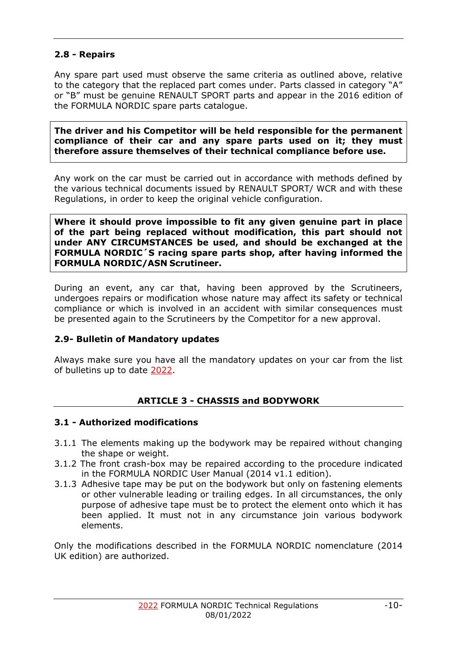# <span id="page-9-0"></span>**2.8 - Repairs**

Any spare part used must observe the same criteria as outlined above, relative to the category that the replaced part comes under. Parts classed in category "A" or "B" must be genuine RENAULT SPORT parts and appear in the 2016 edition of the FORMULA NORDIC spare parts catalogue.

**The driver and his Competitor will be held responsible for the permanent compliance of their car and any spare parts used on it; they must therefore assure themselves of their technical compliance before use.**

Any work on the car must be carried out in accordance with methods defined by the various technical documents issued by RENAULT SPORT/ WCR and with these Regulations, in order to keep the original vehicle configuration.

**Where it should prove impossible to fit any given genuine part in place of the part being replaced without modification, this part should not under ANY CIRCUMSTANCES be used, and should be exchanged at the FORMULA NORDIC´S racing spare parts shop, after having informed the FORMULA NORDIC/ASN Scrutineer.**

During an event, any car that, having been approved by the Scrutineers, undergoes repairs or modification whose nature may affect its safety or technical compliance or which is involved in an accident with similar consequences must be presented again to the Scrutineers by the Competitor for a new approval.

# <span id="page-9-1"></span>**2.9- Bulletin of Mandatory updates**

Always make sure you have all the mandatory updates on your car from the list of bulletins up to date 2022.

# **ARTICLE 3 - CHASSIS and BODYWORK**

# <span id="page-9-3"></span><span id="page-9-2"></span>**3.1 - Authorized modifications**

- 3.1.1 The elements making up the bodywork may be repaired without changing the shape or weight.
- 3.1.2 The front crash-box may be repaired according to the procedure indicated in the FORMULA NORDIC User Manual (2014 v1.1 edition).
- 3.1.3 Adhesive tape may be put on the bodywork but only on fastening elements or other vulnerable leading or trailing edges. In all circumstances, the only purpose of adhesive tape must be to protect the element onto which it has been applied. It must not in any circumstance join various bodywork elements.

Only the modifications described in the FORMULA NORDIC nomenclature (2014 UK edition) are authorized.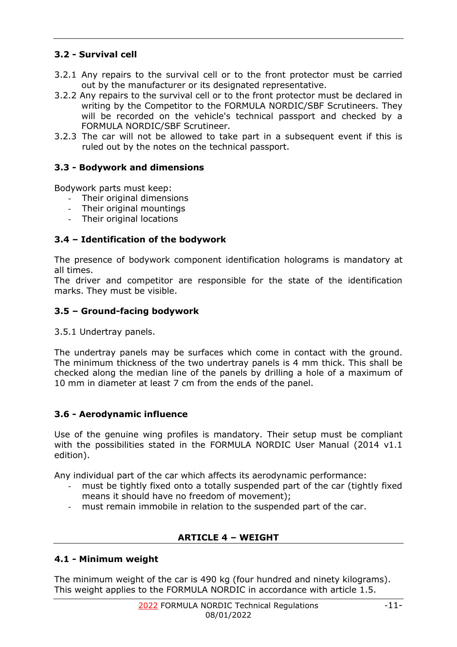# <span id="page-10-0"></span>**3.2 - Survival cell**

- 3.2.1 Any repairs to the survival cell or to the front protector must be carried out by the manufacturer or its designated representative.
- 3.2.2 Any repairs to the survival cell or to the front protector must be declared in writing by the Competitor to the FORMULA NORDIC/SBF Scrutineers. They will be recorded on the vehicle's technical passport and checked by a FORMULA NORDIC/SBF Scrutineer.
- 3.2.3 The car will not be allowed to take part in a subsequent event if this is ruled out by the notes on the technical passport.

# <span id="page-10-1"></span>**3.3 - Bodywork and dimensions**

Bodywork parts must keep:

- Their original dimensions
- Their original mountings
- Their original locations

# <span id="page-10-2"></span>**3.4 – Identification of the bodywork**

The presence of bodywork component identification holograms is mandatory at all times.

The driver and competitor are responsible for the state of the identification marks. They must be visible.

# <span id="page-10-3"></span>**3.5 – Ground-facing bodywork**

3.5.1 Undertray panels.

The undertray panels may be surfaces which come in contact with the ground. The minimum thickness of the two undertray panels is 4 mm thick. This shall be checked along the median line of the panels by drilling a hole of a maximum of 10 mm in diameter at least 7 cm from the ends of the panel.

# <span id="page-10-4"></span>**3.6 - Aerodynamic influence**

Use of the genuine wing profiles is mandatory. Their setup must be compliant with the possibilities stated in the FORMULA NORDIC User Manual (2014 v1.1) edition).

Any individual part of the car which affects its aerodynamic performance:

- must be tightly fixed onto a totally suspended part of the car (tightly fixed means it should have no freedom of movement);
- must remain immobile in relation to the suspended part of the car.

# **ARTICLE 4 – WEIGHT**

# <span id="page-10-6"></span><span id="page-10-5"></span>**4.1 - Minimum weight**

The minimum weight of the car is 490 kg (four hundred and ninety kilograms). This weight applies to the FORMULA NORDIC in accordance with article 1.5.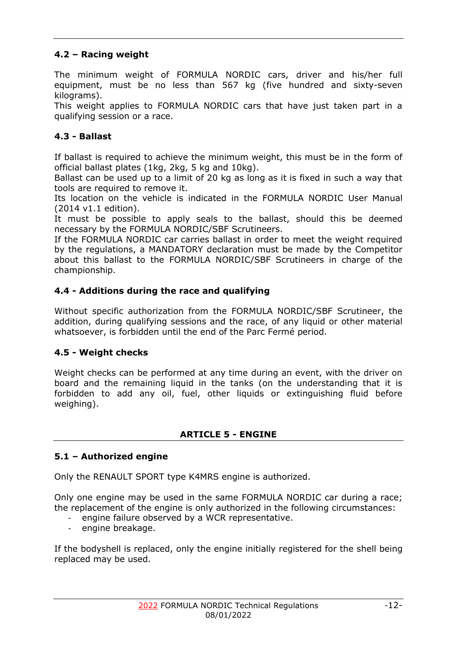# <span id="page-11-0"></span>**4.2 – Racing weight**

The minimum weight of FORMULA NORDIC cars, driver and his/her full equipment, must be no less than 567 kg (five hundred and sixty-seven kilograms).

This weight applies to FORMULA NORDIC cars that have just taken part in a qualifying session or a race.

# <span id="page-11-1"></span>**4.3 - Ballast**

If ballast is required to achieve the minimum weight, this must be in the form of official ballast plates (1kg, 2kg, 5 kg and 10kg).

Ballast can be used up to a limit of 20 kg as long as it is fixed in such a way that tools are required to remove it.

Its location on the vehicle is indicated in the FORMULA NORDIC User Manual (2014 v1.1 edition).

It must be possible to apply seals to the ballast, should this be deemed necessary by the FORMULA NORDIC/SBF Scrutineers.

If the FORMULA NORDIC car carries ballast in order to meet the weight required by the regulations, a MANDATORY declaration must be made by the Competitor about this ballast to the FORMULA NORDIC/SBF Scrutineers in charge of the championship.

# <span id="page-11-2"></span>**4.4 - Additions during the race and qualifying**

Without specific authorization from the FORMULA NORDIC/SBF Scrutineer, the addition, during qualifying sessions and the race, of any liquid or other material whatsoever, is forbidden until the end of the Parc Fermé period.

# <span id="page-11-3"></span>**4.5 - Weight checks**

Weight checks can be performed at any time during an event, with the driver on board and the remaining liquid in the tanks (on the understanding that it is forbidden to add any oil, fuel, other liquids or extinguishing fluid before weighing).

#### **ARTICLE 5 - ENGINE**

# <span id="page-11-5"></span><span id="page-11-4"></span>**5.1 – Authorized engine**

Only the RENAULT SPORT type K4MRS engine is authorized.

Only one engine may be used in the same FORMULA NORDIC car during a race; the replacement of the engine is only authorized in the following circumstances:

- engine failure observed by a WCR representative.
- engine breakage.

If the bodyshell is replaced, only the engine initially registered for the shell being replaced may be used.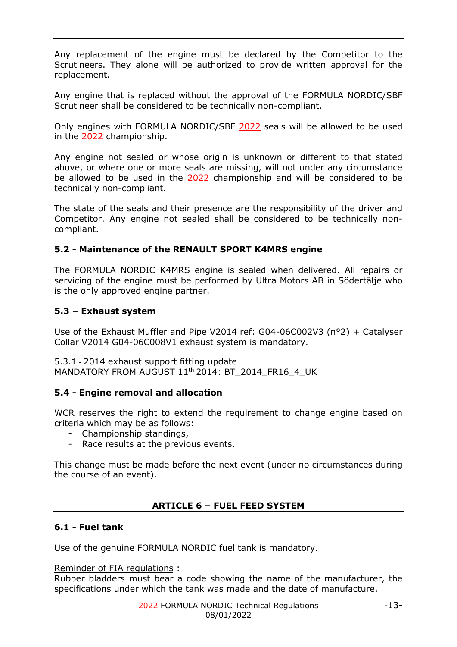Any replacement of the engine must be declared by the Competitor to the Scrutineers. They alone will be authorized to provide written approval for the replacement.

Any engine that is replaced without the approval of the FORMULA NORDIC/SBF Scrutineer shall be considered to be technically non-compliant.

Only engines with FORMULA NORDIC/SBF 2022 seals will be allowed to be used in the 2022 championship.

Any engine not sealed or whose origin is unknown or different to that stated above, or where one or more seals are missing, will not under any circumstance be allowed to be used in the 2022 championship and will be considered to be technically non-compliant.

The state of the seals and their presence are the responsibility of the driver and Competitor. Any engine not sealed shall be considered to be technically noncompliant.

#### <span id="page-12-0"></span>**5.2 - Maintenance of the RENAULT SPORT K4MRS engine**

The FORMULA NORDIC K4MRS engine is sealed when delivered. All repairs or servicing of the engine must be performed by Ultra Motors AB in Södertälje who is the only approved engine partner.

#### <span id="page-12-1"></span>**5.3 – Exhaust system**

Use of the Exhaust Muffler and Pipe V2014 ref: G04-06C002V3 (n°2) + Catalyser Collar V2014 G04-06C008V1 exhaust system is mandatory.

5.3.1 - 2014 exhaust support fitting update MANDATORY FROM AUGUST 11<sup>th</sup> 2014: BT\_2014\_FR16\_4\_UK

#### <span id="page-12-2"></span>**5.4 - Engine removal and allocation**

WCR reserves the right to extend the requirement to change engine based on criteria which may be as follows:

- Championship standings,
- Race results at the previous events.

This change must be made before the next event (under no circumstances during the course of an event).

# **ARTICLE 6 – FUEL FEED SYSTEM**

# <span id="page-12-4"></span><span id="page-12-3"></span>**6.1 - Fuel tank**

Use of the genuine FORMULA NORDIC fuel tank is mandatory.

Reminder of FIA regulations :

Rubber bladders must bear a code showing the name of the manufacturer, the specifications under which the tank was made and the date of manufacture.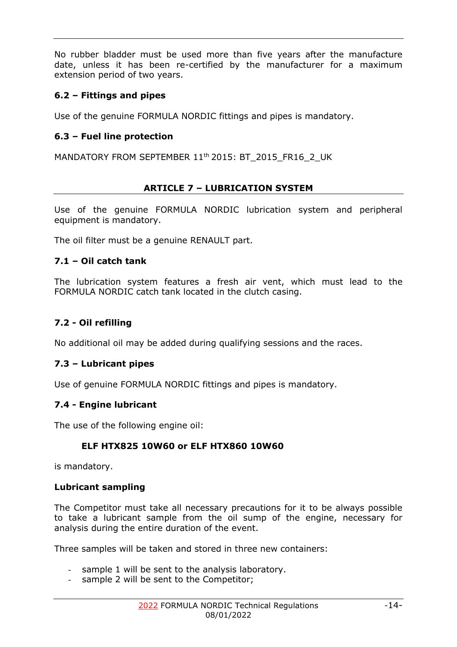No rubber bladder must be used more than five years after the manufacture date, unless it has been re-certified by the manufacturer for a maximum extension period of two years.

# <span id="page-13-0"></span>**6.2 – Fittings and pipes**

Use of the genuine FORMULA NORDIC fittings and pipes is mandatory.

# **6.3 – Fuel line protection**

MANDATORY FROM SEPTEMBER 11<sup>th</sup> 2015: BT\_2015\_FR16\_2\_UK

#### **ARTICLE 7 – LUBRICATION SYSTEM**

<span id="page-13-1"></span>Use of the genuine FORMULA NORDIC lubrication system and peripheral equipment is mandatory.

The oil filter must be a genuine RENAULT part.

#### <span id="page-13-2"></span>**7.1 – Oil catch tank**

The lubrication system features a fresh air vent, which must lead to the FORMULA NORDIC catch tank located in the clutch casing.

# <span id="page-13-3"></span>**7.2 - Oil refilling**

No additional oil may be added during qualifying sessions and the races.

# <span id="page-13-4"></span>**7.3 – Lubricant pipes**

Use of genuine FORMULA NORDIC fittings and pipes is mandatory.

#### <span id="page-13-5"></span>**7.4 - Engine lubricant**

The use of the following engine oil:

# **ELF HTX825 10W60 or ELF HTX860 10W60**

is mandatory.

#### **Lubricant sampling**

The Competitor must take all necessary precautions for it to be always possible to take a lubricant sample from the oil sump of the engine, necessary for analysis during the entire duration of the event.

Three samples will be taken and stored in three new containers:

- sample 1 will be sent to the analysis laboratory.
- sample 2 will be sent to the Competitor;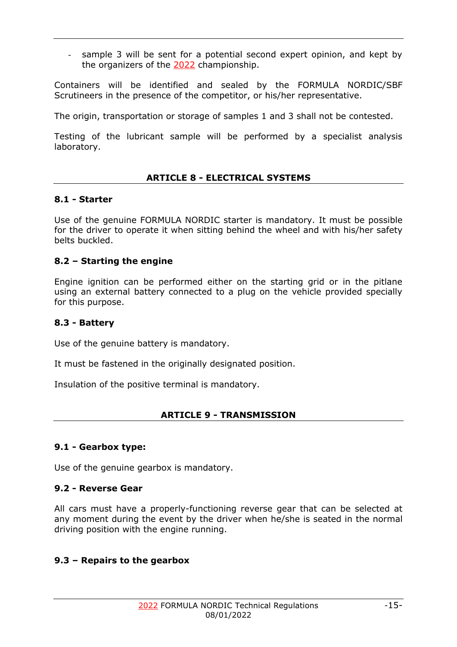sample 3 will be sent for a potential second expert opinion, and kept by the organizers of the 2022 championship.

Containers will be identified and sealed by the FORMULA NORDIC/SBF Scrutineers in the presence of the competitor, or his/her representative.

The origin, transportation or storage of samples 1 and 3 shall not be contested.

Testing of the lubricant sample will be performed by a specialist analysis laboratory.

#### **ARTICLE 8 - ELECTRICAL SYSTEMS**

#### <span id="page-14-1"></span><span id="page-14-0"></span>**8.1 - Starter**

Use of the genuine FORMULA NORDIC starter is mandatory. It must be possible for the driver to operate it when sitting behind the wheel and with his/her safety belts buckled.

#### <span id="page-14-2"></span>**8.2 – Starting the engine**

Engine ignition can be performed either on the starting grid or in the pitlane using an external battery connected to a plug on the vehicle provided specially for this purpose.

#### <span id="page-14-3"></span>**8.3 - Battery**

Use of the genuine battery is mandatory.

It must be fastened in the originally designated position.

<span id="page-14-4"></span>Insulation of the positive terminal is mandatory.

#### **ARTICLE 9 - TRANSMISSION**

#### <span id="page-14-5"></span>**9.1 - Gearbox type:**

Use of the genuine gearbox is mandatory.

#### <span id="page-14-6"></span>**9.2 - Reverse Gear**

All cars must have a properly-functioning reverse gear that can be selected at any moment during the event by the driver when he/she is seated in the normal driving position with the engine running.

#### <span id="page-14-7"></span>**9.3 – Repairs to the gearbox**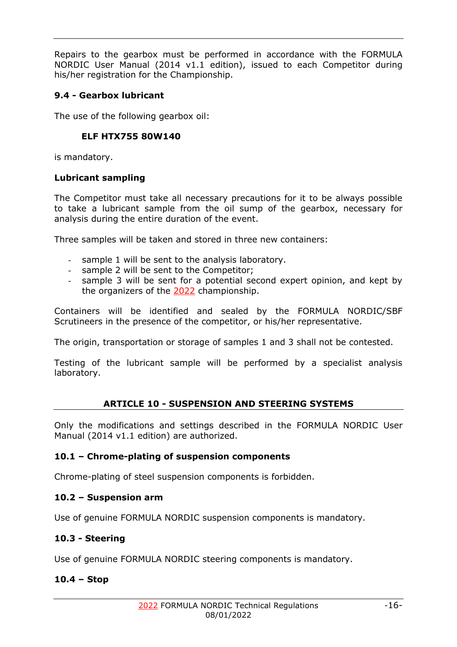Repairs to the gearbox must be performed in accordance with the FORMULA NORDIC User Manual (2014 v1.1 edition), issued to each Competitor during his/her registration for the Championship.

# <span id="page-15-0"></span>**9.4 - Gearbox lubricant**

The use of the following gearbox oil:

# **ELF HTX755 80W140**

is mandatory.

# **Lubricant sampling**

The Competitor must take all necessary precautions for it to be always possible to take a lubricant sample from the oil sump of the gearbox, necessary for analysis during the entire duration of the event.

Three samples will be taken and stored in three new containers:

- sample 1 will be sent to the analysis laboratory.
- sample 2 will be sent to the Competitor;
- sample 3 will be sent for a potential second expert opinion, and kept by the organizers of the 2022 championship.

Containers will be identified and sealed by the FORMULA NORDIC/SBF Scrutineers in the presence of the competitor, or his/her representative.

The origin, transportation or storage of samples 1 and 3 shall not be contested.

Testing of the lubricant sample will be performed by a specialist analysis laboratory.

# **ARTICLE 10 - SUSPENSION AND STEERING SYSTEMS**

<span id="page-15-1"></span>Only the modifications and settings described in the FORMULA NORDIC User Manual (2014 v1.1 edition) are authorized.

# <span id="page-15-2"></span>**10.1 – Chrome-plating of suspension components**

Chrome-plating of steel suspension components is forbidden.

# <span id="page-15-3"></span>**10.2 – Suspension arm**

Use of genuine FORMULA NORDIC suspension components is mandatory.

# <span id="page-15-4"></span>**10.3 - Steering**

Use of genuine FORMULA NORDIC steering components is mandatory.

# <span id="page-15-5"></span>**10.4 – Stop**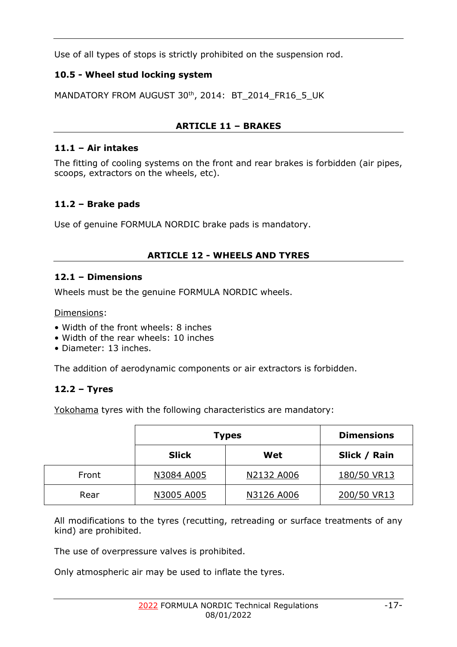Use of all types of stops is strictly prohibited on the suspension rod.

# <span id="page-16-0"></span>**10.5 - Wheel stud locking system**

MANDATORY FROM AUGUST 30<sup>th</sup>, 2014: BT\_2014\_FR16\_5\_UK

# **ARTICLE 11 – BRAKES**

# <span id="page-16-2"></span><span id="page-16-1"></span>**11.1 – Air intakes**

The fitting of cooling systems on the front and rear brakes is forbidden (air pipes, scoops, extractors on the wheels, etc).

# <span id="page-16-3"></span>**11.2 – Brake pads**

Use of genuine FORMULA NORDIC brake pads is mandatory.

# **ARTICLE 12 - WHEELS AND TYRES**

# <span id="page-16-5"></span><span id="page-16-4"></span>**12.1 – Dimensions**

Wheels must be the genuine FORMULA NORDIC wheels.

Dimensions:

- Width of the front wheels: 8 inches
- Width of the rear wheels: 10 inches
- Diameter: 13 inches.

The addition of aerodynamic components or air extractors is forbidden.

# <span id="page-16-6"></span>**12.2 – Tyres**

Yokohama tyres with the following characteristics are mandatory:

|       | <b>Types</b> |            | <b>Dimensions</b> |
|-------|--------------|------------|-------------------|
|       | <b>Slick</b> | Wet        | Slick / Rain      |
| Front | N3084 A005   | N2132 A006 | 180/50 VR13       |
| Rear  | N3005 A005   | N3126 A006 | 200/50 VR13       |

All modifications to the tyres (recutting, retreading or surface treatments of any kind) are prohibited.

The use of overpressure valves is prohibited.

Only atmospheric air may be used to inflate the tyres.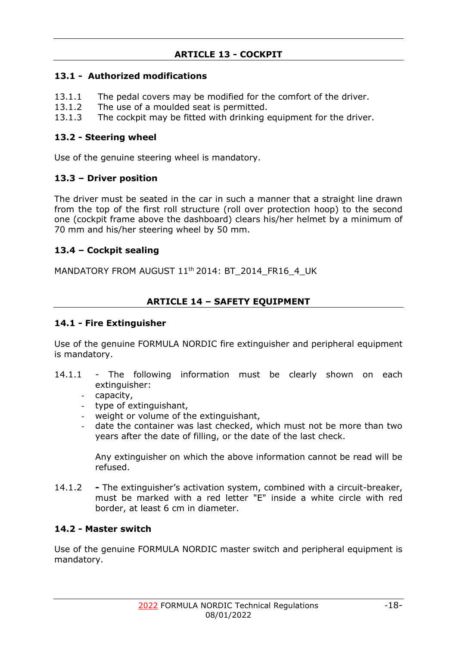# **ARTICLE 13 - COCKPIT**

# <span id="page-17-1"></span><span id="page-17-0"></span>**13.1 - Authorized modifications**

- 13.1.1 The pedal covers may be modified for the comfort of the driver.
- 13.1.2 The use of a moulded seat is permitted.
- 13.1.3 The cockpit may be fitted with drinking equipment for the driver.

## <span id="page-17-2"></span>**13.2 - Steering wheel**

Use of the genuine steering wheel is mandatory.

# <span id="page-17-3"></span>**13.3 – Driver position**

The driver must be seated in the car in such a manner that a straight line drawn from the top of the first roll structure (roll over protection hoop) to the second one (cockpit frame above the dashboard) clears his/her helmet by a minimum of 70 mm and his/her steering wheel by 50 mm.

# <span id="page-17-4"></span>**13.4 – Cockpit sealing**

MANDATORY FROM AUGUST 11<sup>th</sup> 2014: BT\_2014\_FR16\_4\_UK

# **ARTICLE 14 – SAFETY EQUIPMENT**

# <span id="page-17-6"></span><span id="page-17-5"></span>**14.1 - Fire Extinguisher**

Use of the genuine FORMULA NORDIC fire extinguisher and peripheral equipment is mandatory.

- 14.1.1 The following information must be clearly shown on each extinguisher:
	- capacity,
	- type of extinguishant,
	- weight or volume of the extinguishant,
	- date the container was last checked, which must not be more than two years after the date of filling, or the date of the last check.

Any extinguisher on which the above information cannot be read will be refused.

14.1.2 **-** The extinguisher's activation system, combined with a circuit-breaker, must be marked with a red letter "E" inside a white circle with red border, at least 6 cm in diameter.

# <span id="page-17-7"></span>**14.2 - Master switch**

Use of the genuine FORMULA NORDIC master switch and peripheral equipment is mandatory.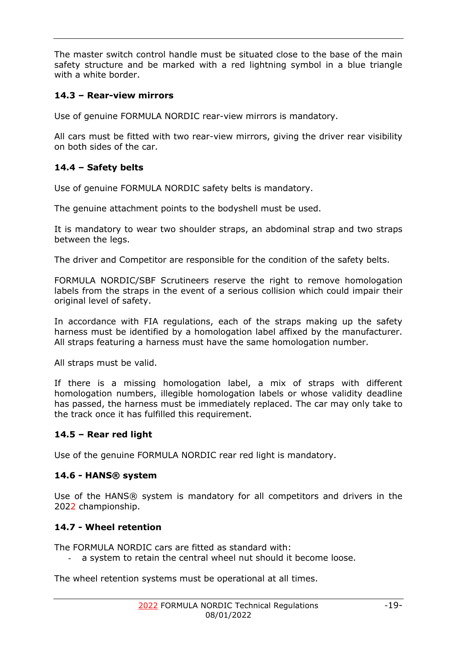The master switch control handle must be situated close to the base of the main safety structure and be marked with a red lightning symbol in a blue triangle with a white border.

# <span id="page-18-0"></span>**14.3 – Rear-view mirrors**

Use of genuine FORMULA NORDIC rear-view mirrors is mandatory.

All cars must be fitted with two rear-view mirrors, giving the driver rear visibility on both sides of the car.

# <span id="page-18-1"></span>**14.4 – Safety belts**

Use of genuine FORMULA NORDIC safety belts is mandatory.

The genuine attachment points to the bodyshell must be used.

It is mandatory to wear two shoulder straps, an abdominal strap and two straps between the legs.

The driver and Competitor are responsible for the condition of the safety belts.

FORMULA NORDIC/SBF Scrutineers reserve the right to remove homologation labels from the straps in the event of a serious collision which could impair their original level of safety.

In accordance with FIA regulations, each of the straps making up the safety harness must be identified by a homologation label affixed by the manufacturer. All straps featuring a harness must have the same homologation number.

All straps must be valid.

If there is a missing homologation label, a mix of straps with different homologation numbers, illegible homologation labels or whose validity deadline has passed, the harness must be immediately replaced. The car may only take to the track once it has fulfilled this requirement.

# <span id="page-18-2"></span>**14.5 – Rear red light**

Use of the genuine FORMULA NORDIC rear red light is mandatory.

# <span id="page-18-3"></span>**14.6 - HANS® system**

Use of the HANS® system is mandatory for all competitors and drivers in the 2022 championship.

# <span id="page-18-4"></span>**14.7 - Wheel retention**

The FORMULA NORDIC cars are fitted as standard with:

a system to retain the central wheel nut should it become loose.

The wheel retention systems must be operational at all times.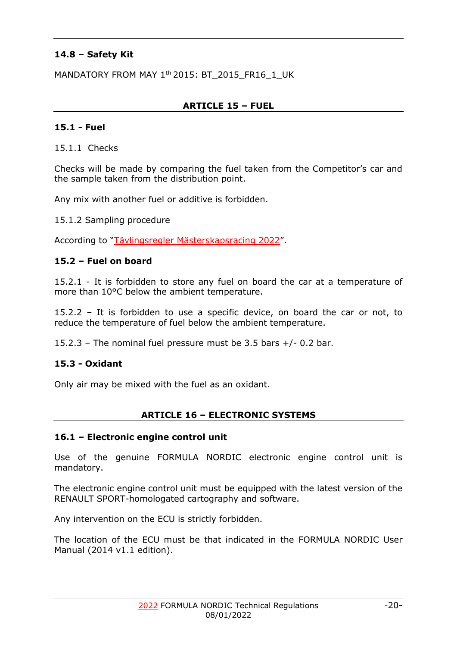# <span id="page-19-0"></span>**14.8 – Safety Kit**

MANDATORY FROM MAY 1<sup>th</sup> 2015: BT\_2015\_FR16\_1\_UK

## **ARTICLE 15 – FUEL**

#### <span id="page-19-2"></span><span id="page-19-1"></span>**15.1 - Fuel**

15.1.1 Checks

Checks will be made by comparing the fuel taken from the Competitor's car and the sample taken from the distribution point.

Any mix with another fuel or additive is forbidden.

15.1.2 Sampling procedure

According to "Tävlingsregler Mästerskapsracing 2022".

#### <span id="page-19-3"></span>**15.2 – Fuel on board**

15.2.1 - It is forbidden to store any fuel on board the car at a temperature of more than 10°C below the ambient temperature.

15.2.2 – It is forbidden to use a specific device, on board the car or not, to reduce the temperature of fuel below the ambient temperature.

15.2.3 – The nominal fuel pressure must be 3.5 bars +/- 0.2 bar.

#### <span id="page-19-4"></span>**15.3 - Oxidant**

Only air may be mixed with the fuel as an oxidant.

#### **ARTICLE 16 – ELECTRONIC SYSTEMS**

#### <span id="page-19-6"></span><span id="page-19-5"></span>**16.1 – Electronic engine control unit**

Use of the genuine FORMULA NORDIC electronic engine control unit is mandatory.

The electronic engine control unit must be equipped with the latest version of the RENAULT SPORT-homologated cartography and software.

Any intervention on the ECU is strictly forbidden.

The location of the ECU must be that indicated in the FORMULA NORDIC User Manual (2014 v1.1 edition).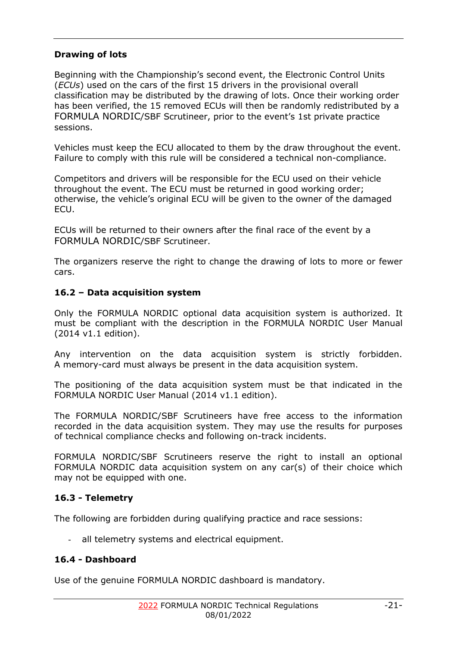# **Drawing of lots**

Beginning with the Championship's second event, the Electronic Control Units (*ECUs*) used on the cars of the first 15 drivers in the provisional overall classification may be distributed by the drawing of lots. Once their working order has been verified, the 15 removed ECUs will then be randomly redistributed by a FORMULA NORDIC/SBF Scrutineer, prior to the event's 1st private practice sessions.

Vehicles must keep the ECU allocated to them by the draw throughout the event. Failure to comply with this rule will be considered a technical non-compliance.

Competitors and drivers will be responsible for the ECU used on their vehicle throughout the event. The ECU must be returned in good working order; otherwise, the vehicle's original ECU will be given to the owner of the damaged ECU.

ECUs will be returned to their owners after the final race of the event by a FORMULA NORDIC/SBF Scrutineer.

The organizers reserve the right to change the drawing of lots to more or fewer cars.

# <span id="page-20-0"></span>**16.2 – Data acquisition system**

Only the FORMULA NORDIC optional data acquisition system is authorized. It must be compliant with the description in the FORMULA NORDIC User Manual (2014 v1.1 edition).

Any intervention on the data acquisition system is strictly forbidden. A memory-card must always be present in the data acquisition system.

The positioning of the data acquisition system must be that indicated in the FORMULA NORDIC User Manual (2014 v1.1 edition).

The FORMULA NORDIC/SBF Scrutineers have free access to the information recorded in the data acquisition system. They may use the results for purposes of technical compliance checks and following on-track incidents.

FORMULA NORDIC/SBF Scrutineers reserve the right to install an optional FORMULA NORDIC data acquisition system on any car(s) of their choice which may not be equipped with one.

# <span id="page-20-1"></span>**16.3 - Telemetry**

The following are forbidden during qualifying practice and race sessions:

- all telemetry systems and electrical equipment.

# <span id="page-20-2"></span>**16.4 - Dashboard**

Use of the genuine FORMULA NORDIC dashboard is mandatory.